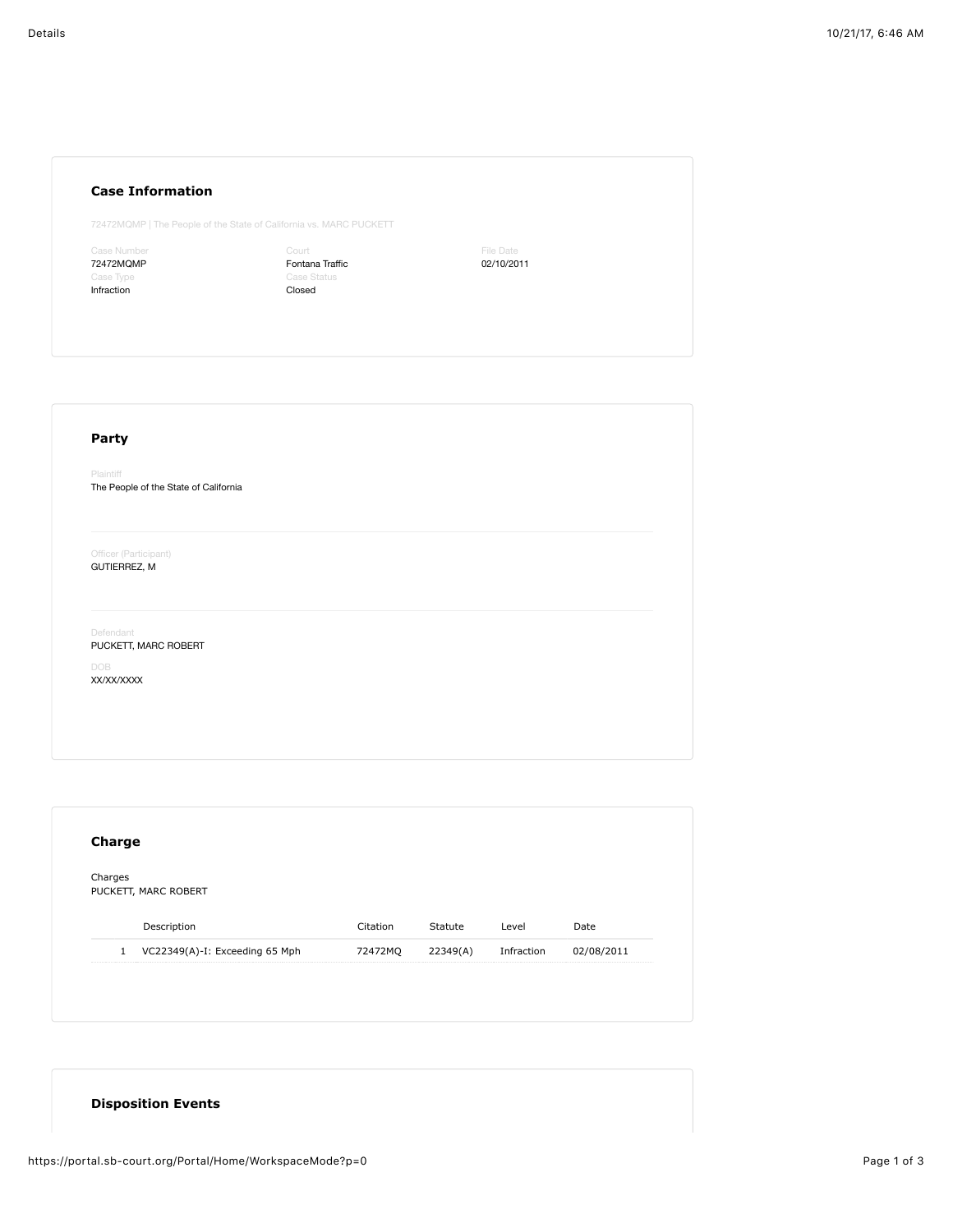## **Case Information**

72472MQMP | The People of the State of California vs. MARC PUCKETT

Case Number 72472MQMP Infraction

Court Fontana Traffic Case Status Closed

File Date 02/10/2011

## **Party** Plaintiff The People of the State of California Officer (Participant) GUTIERREZ, M Defendant PUCKETT, MARC ROBERT

DOB XX/XX/XXXX

| Charges      | PUCKETT, MARC ROBERT           |          |          |            |            |
|--------------|--------------------------------|----------|----------|------------|------------|
|              |                                |          |          |            |            |
|              | Description                    | Citation | Statute  | Level      | Date       |
| $\mathbf{1}$ | VC22349(A)-I: Exceeding 65 Mph | 72472MQ  | 22349(A) | Infraction | 02/08/2011 |

## **Disposition Events**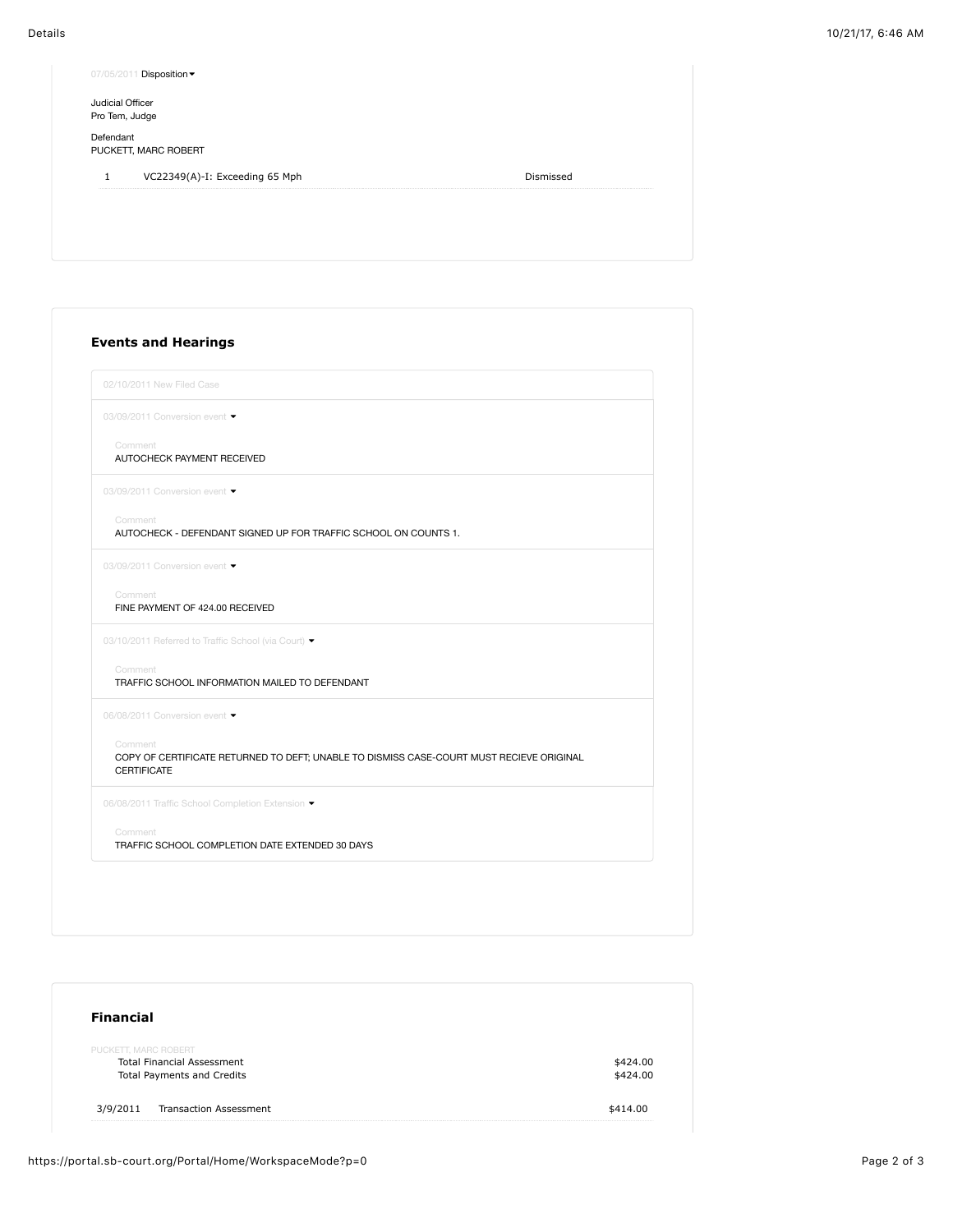| Judicial Officer |                                |           |
|------------------|--------------------------------|-----------|
| Pro Tem, Judge   |                                |           |
| Defendant        | PUCKETT, MARC ROBERT           |           |
| 1                | VC22349(A)-I: Exceeding 65 Mph | Dismissed |

| 02/10/2011 New Filed Case                                                                                                 |
|---------------------------------------------------------------------------------------------------------------------------|
| 03/09/2011 Conversion event •                                                                                             |
| Comment<br>AUTOCHECK PAYMENT RECEIVED                                                                                     |
| 03/09/2011 Conversion event                                                                                               |
| Comment<br>AUTOCHECK - DEFENDANT SIGNED UP FOR TRAFFIC SCHOOL ON COUNTS 1.                                                |
| 03/09/2011 Conversion event                                                                                               |
| Comment<br>FINE PAYMENT OF 424.00 RECEIVED                                                                                |
| 03/10/2011 Referred to Traffic School (via Court) ▼                                                                       |
| Comment<br>TRAFFIC SCHOOL INFORMATION MAILED TO DEFENDANT                                                                 |
| 06/08/2011 Conversion event                                                                                               |
| Comment<br>COPY OF CERTIFICATE RETURNED TO DEFT; UNABLE TO DISMISS CASE-COURT MUST RECIEVE ORIGINAL<br><b>CERTIFICATE</b> |
| 06/08/2011 Traffic School Completion Extension •                                                                          |
| Comment<br>TRAFFIC SCHOOL COMPLETION DATE EXTENDED 30 DAYS                                                                |

| <b>Financial</b>                  |          |
|-----------------------------------|----------|
| PUCKETT, MARC ROBERT              |          |
| <b>Total Financial Assessment</b> | \$424.00 |
| <b>Total Payments and Credits</b> | \$424.00 |